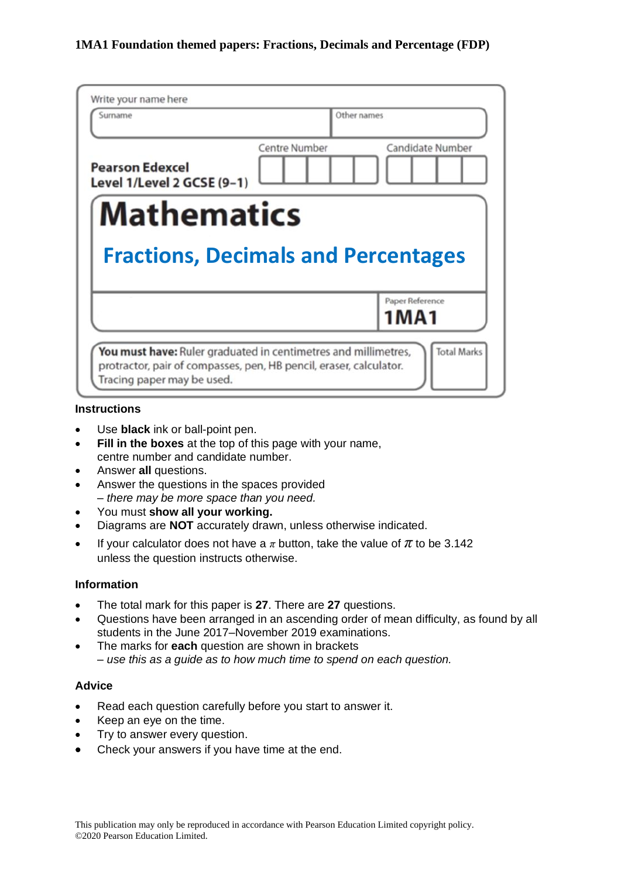| Surname                                              |               | Other names             |
|------------------------------------------------------|---------------|-------------------------|
| <b>Pearson Edexcel</b><br>Level 1/Level 2 GCSE (9-1) | Centre Number | Candidate Number        |
| <b>Mathematics</b>                                   |               |                         |
|                                                      |               |                         |
| <b>Fractions, Decimals and Percentages</b>           |               |                         |
|                                                      |               | Paper Reference<br>1MA1 |

#### **Instructions**

- Use **black** ink or ball-point pen.
- **Fill in the boxes** at the top of this page with your name, centre number and candidate number.
- Answer **all** questions.
- Answer the questions in the spaces provided *– there may be more space than you need.*
- You must **show all your working.**
- Diagrams are **NOT** accurately drawn, unless otherwise indicated.
- If your calculator does not have a  $\pi$  button, take the value of  $\pi$  to be 3.142 unless the question instructs otherwise.

#### **Information**

- The total mark for this paper is **27**. There are **27** questions.
- Questions have been arranged in an ascending order of mean difficulty, as found by all students in the June 2017–November 2019 examinations.
- The marks for **each** question are shown in brackets *– use this as a guide as to how much time to spend on each question.*

### **Advice**

- Read each question carefully before you start to answer it.
- Keep an eye on the time.
- Try to answer every question.
- Check your answers if you have time at the end.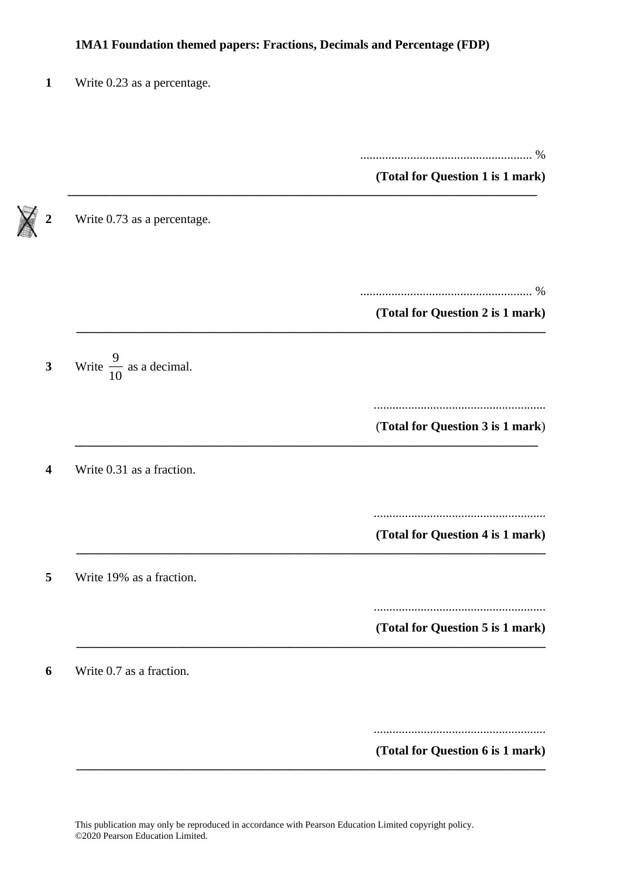**\_\_\_\_\_\_\_\_\_\_\_\_\_\_\_\_\_\_\_\_\_\_\_\_\_\_\_\_\_\_\_\_\_\_\_\_\_\_\_\_\_\_\_\_\_\_\_\_\_\_\_\_\_\_\_\_\_\_\_\_\_\_\_\_\_\_\_\_\_\_\_\_\_\_\_**

| 1 |  |  | Write 0.23 as a percentage. |
|---|--|--|-----------------------------|
|---|--|--|-----------------------------|

....................................................... %

**(Total for Question 1 is 1 mark)**

**2** Write 0.73 as a percentage. ....................................................... % **(Total for Question 2 is 1 mark) \_\_\_\_\_\_\_\_\_\_\_\_\_\_\_\_\_\_\_\_\_\_\_\_\_\_\_\_\_\_\_\_\_\_\_\_\_\_\_\_\_\_\_\_\_\_\_\_\_\_\_\_\_\_\_\_\_\_\_\_\_\_\_\_\_\_\_\_\_\_\_\_\_\_\_ 3** Write  $\frac{9}{16}$  $\frac{1}{10}$  as a decimal. ....................................................... (**Total for Question 3 is 1 mark**) **\_\_\_\_\_\_\_\_\_\_\_\_\_\_\_\_\_\_\_\_\_\_\_\_\_\_\_\_\_\_\_\_\_\_\_\_\_\_\_\_\_\_\_\_\_\_\_\_\_\_\_\_\_\_\_\_\_\_\_\_\_\_\_\_\_\_\_\_\_\_\_\_\_\_ 4** Write 0.31 as a fraction. ....................................................... **(Total for Question 4 is 1 mark) \_\_\_\_\_\_\_\_\_\_\_\_\_\_\_\_\_\_\_\_\_\_\_\_\_\_\_\_\_\_\_\_\_\_\_\_\_\_\_\_\_\_\_\_\_\_\_\_\_\_\_\_\_\_\_\_\_\_\_\_\_\_\_\_\_\_\_\_\_\_\_\_\_\_\_ 5** Write 19% as a fraction. ....................................................... **(Total for Question 5 is 1 mark) \_\_\_\_\_\_\_\_\_\_\_\_\_\_\_\_\_\_\_\_\_\_\_\_\_\_\_\_\_\_\_\_\_\_\_\_\_\_\_\_\_\_\_\_\_\_\_\_\_\_\_\_\_\_\_\_\_\_\_\_\_\_\_\_\_\_\_\_\_\_\_\_\_\_\_ 6** Write 0.7 as a fraction. .......................................................

**(Total for Question 6 is 1 mark)**

**\_\_\_\_\_\_\_\_\_\_\_\_\_\_\_\_\_\_\_\_\_\_\_\_\_\_\_\_\_\_\_\_\_\_\_\_\_\_\_\_\_\_\_\_\_\_\_\_\_\_\_\_\_\_\_\_\_\_\_\_\_\_\_\_\_\_\_\_\_\_\_\_\_\_\_**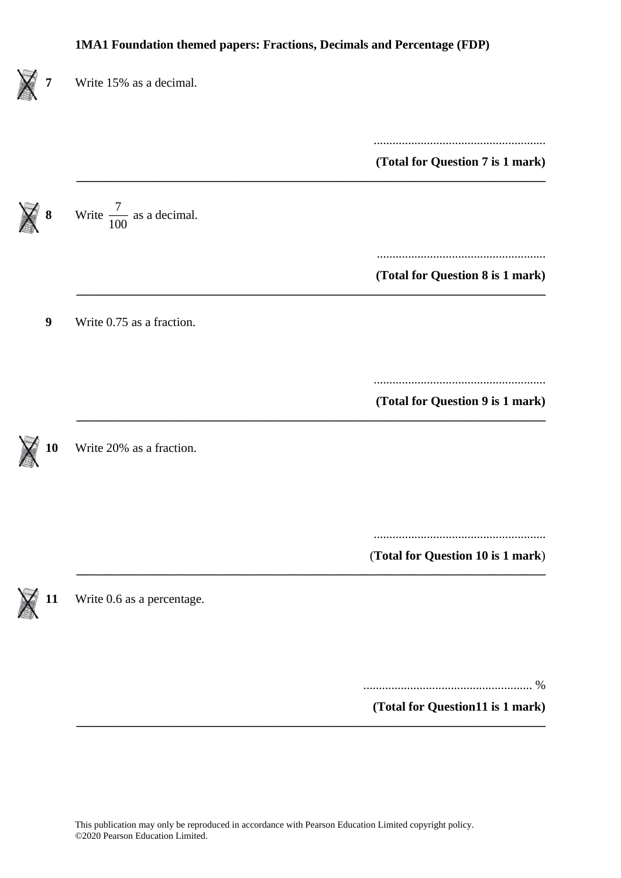| Write 15% as a decimal.             |                                   |
|-------------------------------------|-----------------------------------|
|                                     | (Total for Question 7 is 1 mark)  |
| Write $\frac{7}{100}$ as a decimal. |                                   |
|                                     | (Total for Question 8 is 1 mark)  |
| Write 0.75 as a fraction.           |                                   |
|                                     | (Total for Question 9 is 1 mark)  |
| Write 20% as a fraction.            |                                   |
|                                     |                                   |
|                                     | (Total for Question 10 is 1 mark) |
| Write 0.6 as a percentage.          |                                   |
|                                     |                                   |
|                                     | (Total for Question11 is 1 mark)  |
|                                     |                                   |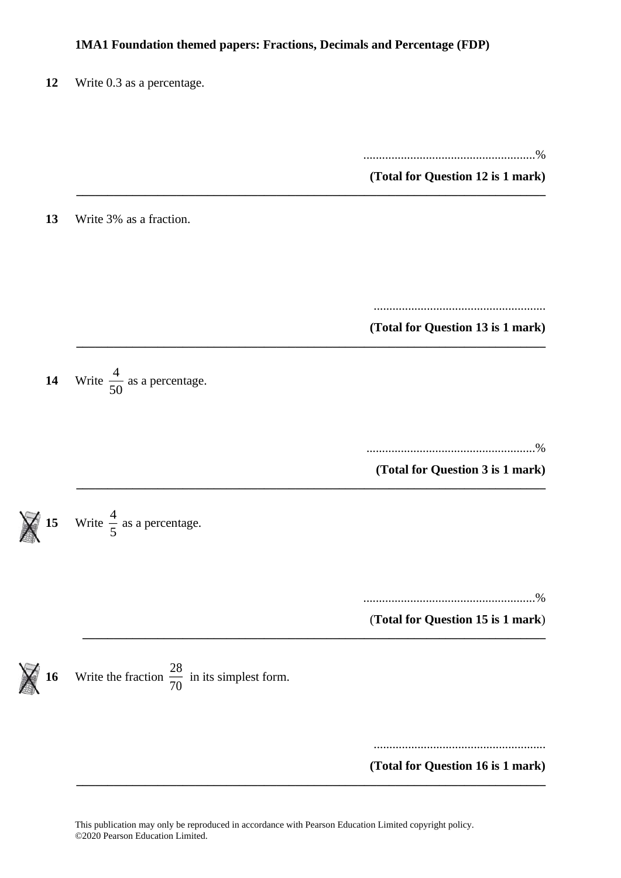**\_\_\_\_\_\_\_\_\_\_\_\_\_\_\_\_\_\_\_\_\_\_\_\_\_\_\_\_\_\_\_\_\_\_\_\_\_\_\_\_\_\_\_\_\_\_\_\_\_\_\_\_\_\_\_\_\_\_\_\_\_\_\_\_\_\_\_\_\_\_\_\_\_\_\_**

**\_\_\_\_\_\_\_\_\_\_\_\_\_\_\_\_\_\_\_\_\_\_\_\_\_\_\_\_\_\_\_\_\_\_\_\_\_\_\_\_\_\_\_\_\_\_\_\_\_\_\_\_\_\_\_\_\_\_\_\_\_\_\_\_\_\_\_\_\_\_\_\_\_\_\_**

**\_\_\_\_\_\_\_\_\_\_\_\_\_\_\_\_\_\_\_\_\_\_\_\_\_\_\_\_\_\_\_\_\_\_\_\_\_\_\_\_\_\_\_\_\_\_\_\_\_\_\_\_\_\_\_\_\_\_\_\_\_\_\_\_\_\_\_\_\_\_\_\_\_\_**

**\_\_\_\_\_\_\_\_\_\_\_\_\_\_\_\_\_\_\_\_\_\_\_\_\_\_\_\_\_\_\_\_\_\_\_\_\_\_\_\_\_\_\_\_\_\_\_\_\_\_\_\_\_\_\_\_\_\_\_\_\_\_\_\_\_\_\_\_\_\_\_\_\_\_\_**



.......................................................%

**(Total for Question 12 is 1 mark)**

**13** Write 3% as a fraction.

....................................................... **(Total for Question 13 is 1 mark)**

**14** Write  $\frac{4}{\pi}$  $\frac{1}{50}$  as a percentage.

......................................................%

**(Total for Question 3 is 1 mark) \_\_\_\_\_\_\_\_\_\_\_\_\_\_\_\_\_\_\_\_\_\_\_\_\_\_\_\_\_\_\_\_\_\_\_\_\_\_\_\_\_\_\_\_\_\_\_\_\_\_\_\_\_\_\_\_\_\_\_\_\_\_\_\_\_\_\_\_\_\_\_\_\_\_\_**

**15** Write  $\frac{4}{5}$  $\frac{1}{5}$  as a percentage.

.......................................................%

(**Total for Question 15 is 1 mark**)

**16** Write the fraction  $\frac{28}{70}$  $\frac{20}{70}$  in its simplest form.

> ....................................................... **(Total for Question 16 is 1 mark)**

This publication may only be reproduced in accordance with Pearson Education Limited copyright policy. ©2020 Pearson Education Limited.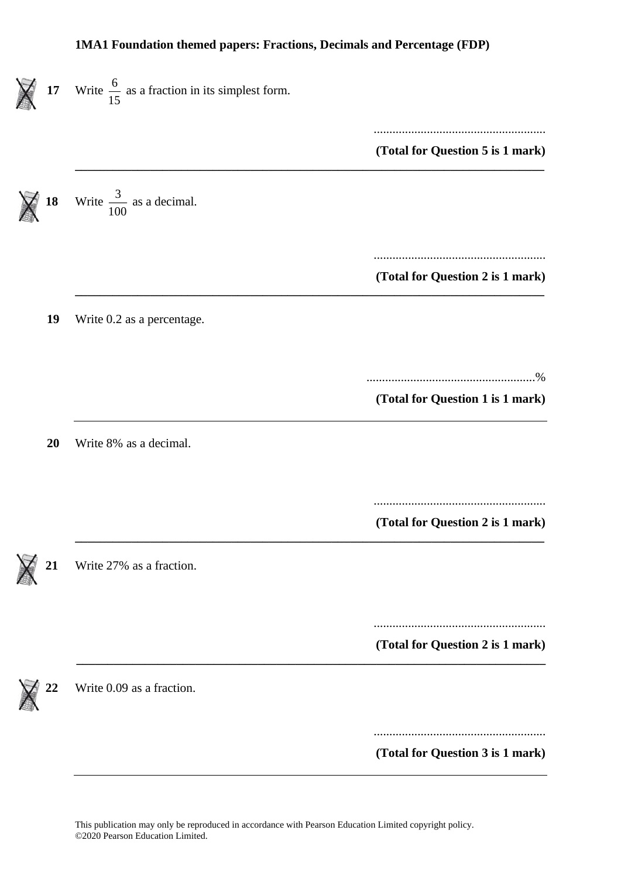| 17 <sub>17</sub> | Write $\frac{6}{15}$ as a fraction in its simplest form. |                                  |
|------------------|----------------------------------------------------------|----------------------------------|
|                  |                                                          | (Total for Question 5 is 1 mark) |
| 18               | Write $\frac{3}{100}$ as a decimal.                      |                                  |
|                  |                                                          | (Total for Question 2 is 1 mark) |
| 19               | Write 0.2 as a percentage.                               |                                  |
|                  |                                                          | (Total for Question 1 is 1 mark) |
| 20               | Write 8% as a decimal.                                   |                                  |
|                  |                                                          | (Total for Question 2 is 1 mark) |
| 21               | Write 27% as a fraction.                                 |                                  |
|                  |                                                          | (Total for Question 2 is 1 mark) |
| 22               | Write 0.09 as a fraction.                                |                                  |
|                  |                                                          | (Total for Question 3 is 1 mark) |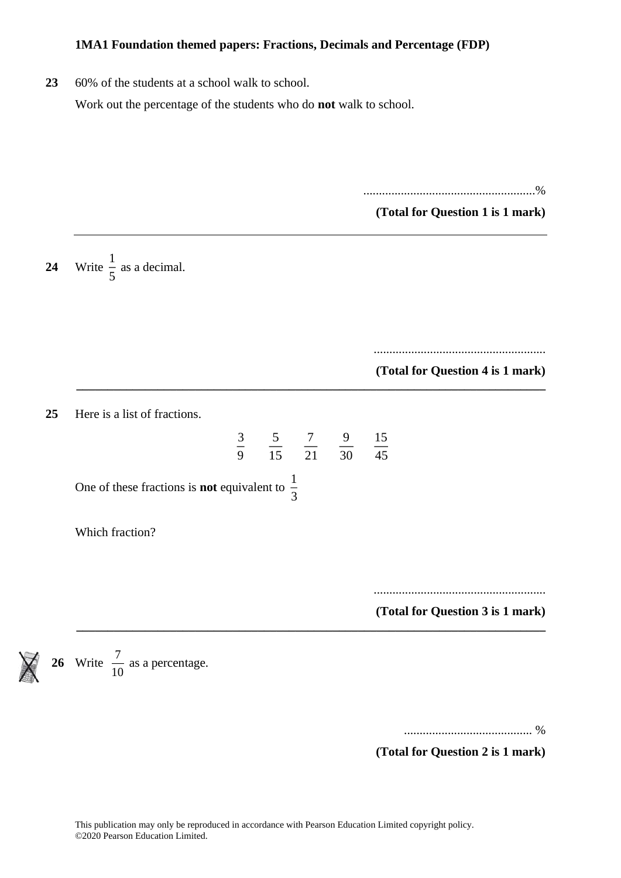**23** 60% of the students at a school walk to school.

Work out the percentage of the students who do **not** walk to school.

.......................................................%

**(Total for Question 1 is 1 mark)**

24 Write  $\frac{1}{5}$  $\frac{1}{5}$  as a decimal.

> ....................................................... **(Total for Question 4 is 1 mark)**

**25** Here is a list of fractions.

$$
\frac{5}{15} \quad \frac{7}{21} \quad \frac{9}{30} \quad \frac{15}{45}
$$

**\_\_\_\_\_\_\_\_\_\_\_\_\_\_\_\_\_\_\_\_\_\_\_\_\_\_\_\_\_\_\_\_\_\_\_\_\_\_\_\_\_\_\_\_\_\_\_\_\_\_\_\_\_\_\_\_\_\_\_\_\_\_\_\_\_\_\_\_\_\_\_\_\_\_\_**

**\_\_\_\_\_\_\_\_\_\_\_\_\_\_\_\_\_\_\_\_\_\_\_\_\_\_\_\_\_\_\_\_\_\_\_\_\_\_\_\_\_\_\_\_\_\_\_\_\_\_\_\_\_\_\_\_\_\_\_\_\_\_\_\_\_\_\_\_\_\_\_\_\_\_\_**

One of these fractions is **not** equivalent to  $\frac{1}{2}$ 3

3 9

Which fraction?

.......................................................

**(Total for Question 3 is 1 mark)**

**26** Write  $\frac{7}{10}$  $\frac{7}{6}$  as a percentage.

......................................... %

**(Total for Question 2 is 1 mark)**